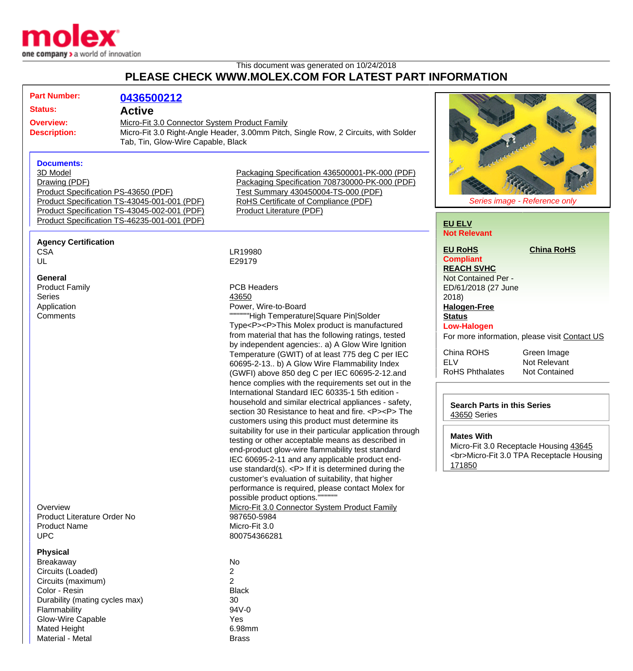

## This document was generated on 10/24/2018 **PLEASE CHECK WWW.MOLEX.COM FOR LATEST PART INFORMATION**

|                                                           | <b>Part Number:</b>                                                                                                                                                                                                      | 0436500212                                                                                                                                                                                  |                                                                                                                                                                                                                                                                                                                                                                                                                                                                                                                                                                                                                                                                                                                                                                                                                                                                                                                                                                                                                                                                                                                                                                                                                                                                                 |                                                                                                                                                                                                                                                   |                                                                                                      |
|-----------------------------------------------------------|--------------------------------------------------------------------------------------------------------------------------------------------------------------------------------------------------------------------------|---------------------------------------------------------------------------------------------------------------------------------------------------------------------------------------------|---------------------------------------------------------------------------------------------------------------------------------------------------------------------------------------------------------------------------------------------------------------------------------------------------------------------------------------------------------------------------------------------------------------------------------------------------------------------------------------------------------------------------------------------------------------------------------------------------------------------------------------------------------------------------------------------------------------------------------------------------------------------------------------------------------------------------------------------------------------------------------------------------------------------------------------------------------------------------------------------------------------------------------------------------------------------------------------------------------------------------------------------------------------------------------------------------------------------------------------------------------------------------------|---------------------------------------------------------------------------------------------------------------------------------------------------------------------------------------------------------------------------------------------------|------------------------------------------------------------------------------------------------------|
| <b>Status:</b><br><b>Overview:</b><br><b>Description:</b> |                                                                                                                                                                                                                          | <b>Active</b><br>Micro-Fit 3.0 Connector System Product Family<br>Micro-Fit 3.0 Right-Angle Header, 3.00mm Pitch, Single Row, 2 Circuits, with Solder<br>Tab, Tin, Glow-Wire Capable, Black |                                                                                                                                                                                                                                                                                                                                                                                                                                                                                                                                                                                                                                                                                                                                                                                                                                                                                                                                                                                                                                                                                                                                                                                                                                                                                 |                                                                                                                                                                                                                                                   |                                                                                                      |
|                                                           | <b>Documents:</b><br>3D Model<br>Drawing (PDF)<br>Product Specification PS-43650 (PDF)                                                                                                                                   | Product Specification TS-43045-001-001 (PDF)<br>Product Specification TS-43045-002-001 (PDF)<br>Product Specification TS-46235-001-001 (PDF)                                                | Packaging Specification 436500001-PK-000 (PDF)<br>Packaging Specification 708730000-PK-000 (PDF)<br>Test Summary 430450004-TS-000 (PDF)<br>RoHS Certificate of Compliance (PDF)<br><b>Product Literature (PDF)</b>                                                                                                                                                                                                                                                                                                                                                                                                                                                                                                                                                                                                                                                                                                                                                                                                                                                                                                                                                                                                                                                              | <b>EU ELV</b>                                                                                                                                                                                                                                     | Series image - Reference only                                                                        |
|                                                           | <b>Agency Certification</b><br><b>CSA</b><br>UL                                                                                                                                                                          |                                                                                                                                                                                             | LR19980<br>E29179                                                                                                                                                                                                                                                                                                                                                                                                                                                                                                                                                                                                                                                                                                                                                                                                                                                                                                                                                                                                                                                                                                                                                                                                                                                               | <b>Not Relevant</b><br><b>EU RoHS</b><br><b>Compliant</b>                                                                                                                                                                                         | <b>China RoHS</b>                                                                                    |
|                                                           | <b>General</b><br><b>Product Family</b><br><b>Series</b><br>Application<br>Comments<br>Overview<br>Product Literature Order No<br><b>Product Name</b><br><b>UPC</b>                                                      |                                                                                                                                                                                             | <b>PCB Headers</b><br>43650<br>Power, Wire-to-Board<br>"""High Temperature Square Pin Solder<br>Type <p><p>This Molex product is manufactured<br/>from material that has the following ratings, tested<br/>by independent agencies:. a) A Glow Wire Ignition<br/>Temperature (GWIT) of at least 775 deg C per IEC<br/>60695-2-13 b) A Glow Wire Flammability Index<br/>(GWFI) above 850 deg C per IEC 60695-2-12.and<br/>hence complies with the requirements set out in the<br/>International Standard IEC 60335-1 5th edition -<br/>household and similar electrical appliances - safety,<br/>section 30 Resistance to heat and fire. <p><p>The<br/>customers using this product must determine its<br/>suitability for use in their particular application through<br/>testing or other acceptable means as described in<br/>end-product glow-wire flammability test standard<br/>IEC 60695-2-11 and any applicable product end-<br/>use standard(s). <math>&lt;</math>P&gt; If it is determined during the<br/>customer's evaluation of suitability, that higher<br/>performance is required, please contact Molex for<br/>possible product options.""<br/>Micro-Fit 3.0 Connector System Product Family<br/>987650-5984<br/>Micro-Fit 3.0<br/>800754366281</p></p></p></p> | <b>REACH SVHC</b><br>Not Contained Per -<br>ED/61/2018 (27 June<br>2018<br><b>Halogen-Free</b><br><b>Status</b><br><b>Low-Halogen</b><br>China ROHS<br><b>ELV</b><br><b>RoHS Phthalates</b><br><b>Search Parts in this Series</b><br>43650 Series | For more information, please visit Contact US<br>Green Image<br>Not Relevant<br><b>Not Contained</b> |
|                                                           |                                                                                                                                                                                                                          |                                                                                                                                                                                             |                                                                                                                                                                                                                                                                                                                                                                                                                                                                                                                                                                                                                                                                                                                                                                                                                                                                                                                                                                                                                                                                                                                                                                                                                                                                                 | <b>Mates With</b><br>Micro-Fit 3.0 Receptacle Housing 43645<br><br>Micro-Fit 3.0 TPA Receptacle Housing<br>171850                                                                                                                                 |                                                                                                      |
|                                                           | <b>Physical</b><br><b>Breakaway</b><br>Circuits (Loaded)<br>Circuits (maximum)<br>Color - Resin<br>Durability (mating cycles max)<br>Flammability<br><b>Glow-Wire Capable</b><br><b>Mated Height</b><br>Material - Metal |                                                                                                                                                                                             | No<br>$\overline{2}$<br>$\overline{2}$<br><b>Black</b><br>30<br>94V-0<br>Yes<br>6.98mm<br><b>Brass</b>                                                                                                                                                                                                                                                                                                                                                                                                                                                                                                                                                                                                                                                                                                                                                                                                                                                                                                                                                                                                                                                                                                                                                                          |                                                                                                                                                                                                                                                   |                                                                                                      |